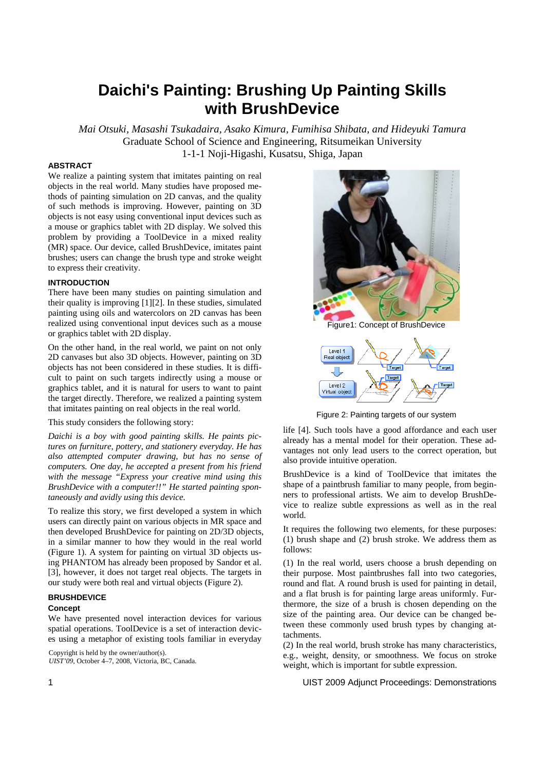# **Daichi's Painting: Brushing Up Painting Skills with BrushDevice**

*Mai Otsuki, Masashi Tsukadaira, Asako Kimura, Fumihisa Shibata, and Hideyuki Tamura*  Graduate School of Science and Engineering, Ritsumeikan University 1-1-1 Noji-Higashi, Kusatsu, Shiga, Japan

# **ABSTRACT**

We realize a painting system that imitates painting on real objects in the real world. Many studies have proposed methods of painting simulation on 2D canvas, and the quality of such methods is improving. However, painting on 3D objects is not easy using conventional input devices such as a mouse or graphics tablet with 2D display. We solved this problem by providing a ToolDevice in a mixed reality (MR) space. Our device, called BrushDevice, imitates paint brushes; users can change the brush type and stroke weight to express their creativity.

## **INTRODUCTION**

There have been many studies on painting simulation and their quality is improving [1][2]. In these studies, simulated painting using oils and watercolors on 2D canvas has been realized using conventional input devices such as a mouse or graphics tablet with 2D display.

On the other hand, in the real world, we paint on not only 2D canvases but also 3D objects. However, painting on 3D objects has not been considered in these studies. It is difficult to paint on such targets indirectly using a mouse or graphics tablet, and it is natural for users to want to paint the target directly. Therefore, we realized a painting system that imitates painting on real objects in the real world.

# This study considers the following story:

*Daichi is a boy with good painting skills. He paints pictures on furniture, pottery, and stationery everyday. He has also attempted computer drawing, but has no sense of computers. One day, he accepted a present from his friend with the message "Express your creative mind using this BrushDevice with a computer!!" He started painting spontaneously and avidly using this device.* 

To realize this story, we first developed a system in which users can directly paint on various objects in MR space and then developed BrushDevice for painting on 2D/3D objects, in a similar manner to how they would in the real world (Figure 1). A system for painting on virtual 3D objects using PHANTOM has already been proposed by Sandor et al. [3], however, it does not target real objects. The targets in our study were both real and virtual objects (Figure 2).

# **BRUSHDEVICE**

#### **Concept**

We have presented novel interaction devices for various spatial operations. ToolDevice is a set of interaction devices using a metaphor of existing tools familiar in everyday

Copyright is held by the owner/author(s). *UIST'09*, October 4–7, 2008, Victoria, BC, Canada.



Figure 2: Painting targets of our system

life [4]. Such tools have a good affordance and each user already has a mental model for their operation. These advantages not only lead users to the correct operation, but also provide intuitive operation.

BrushDevice is a kind of ToolDevice that imitates the shape of a paintbrush familiar to many people, from beginners to professional artists. We aim to develop BrushDevice to realize subtle expressions as well as in the real world.

It requires the following two elements, for these purposes: (1) brush shape and (2) brush stroke. We address them as follows:

(1) In the real world, users choose a brush depending on their purpose. Most paintbrushes fall into two categories, round and flat. A round brush is used for painting in detail, and a flat brush is for painting large areas uniformly. Furthermore, the size of a brush is chosen depending on the size of the painting area. Our device can be changed between these commonly used brush types by changing attachments.

(2) In the real world, brush stroke has many characteristics, e.g., weight, density, or smoothness. We focus on stroke weight, which is important for subtle expression.

1 UIST 2009 Adjunct Proceedings: Demonstrations